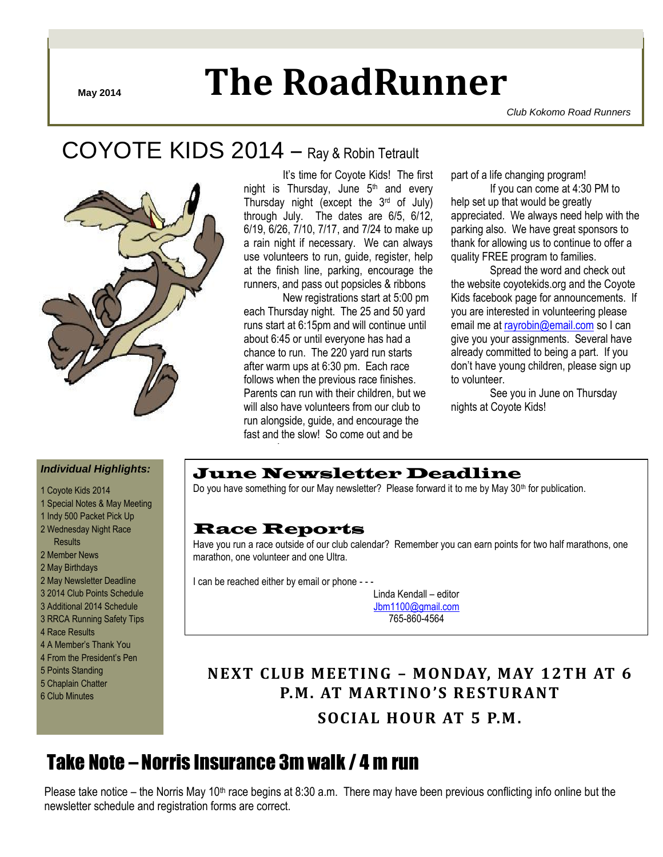# **May 2014 The RoadRunner**

*Club Kokomo Road Runners*

# COYOTE KIDS 2014 – Ray & Robin Tetrault



It's time for Coyote Kids! The first night is Thursday, June  $5<sup>th</sup>$  and every Thursday night (except the 3rd of July) through July. The dates are 6/5, 6/12, 6/19, 6/26, 7/10, 7/17, and 7/24 to make up a rain night if necessary. We can always use volunteers to run, guide, register, help at the finish line, parking, encourage the runners, and pass out popsicles & ribbons

New registrations start at 5:00 pm each Thursday night. The 25 and 50 yard runs start at 6:15pm and will continue until about 6:45 or until everyone has had a chance to run. The 220 yard run starts after warm ups at 6:30 pm. Each race follows when the previous race finishes. Parents can run with their children, but we will also have volunteers from our club to run alongside, guide, and encourage the fast and the slow! So come out and be

part of a life changing program!

If you can come at 4:30 PM to help set up that would be greatly appreciated. We always need help with the parking also. We have great sponsors to thank for allowing us to continue to offer a quality FREE program to families.

Spread the word and check out the website coyotekids.org and the Coyote Kids facebook page for announcements. If you are interested in volunteering please email me at [rayrobin@email.com](mailto:rayrobin@email.com) so I can give you your assignments. Several have already committed to being a part. If you don't have young children, please sign up to volunteer.

See you in June on Thursday nights at Coyote Kids!

#### *Individual Highlights:*

- 1 Coyote Kids 2014
- 1 Special Notes & May Meeting
- 1 Indy 500 Packet Pick Up 2 Wednesday Night Race
- Results
- 2 Member News
- 2 May Birthdays
- 2 May Newsletter Deadline
- 3 2014 Club Points Schedule
- 3 Additional 2014 Schedule
- 3 RRCA Running Safety Tips
- 4 Race Results
- 4 A Member's Thank You
- 4 From the President's Pen
- 5 Points Standing
- 5 Chaplain Chatter
- 6 Club Minutes

## June Newsletter Deadline

Do you have something for our May newsletter? Please forward it to me by May 30<sup>th</sup> for publication.

## Race Reports

aogram!

Have you run a race outside of our club calendar? Remember you can earn points for two half marathons, one marathon, one volunteer and one Ultra.

I can be reached either by email or phone - - -

Linda Kendall – editor [Jbm1100@gmail.com](mailto:Jbm1100@gmail.com) 765-860-4564

# **NEXT CLUB MEETING – MONDAY, MAY 12TH AT 6 P.M. AT MARTINO 'S RESTURANT**

**SOCIAL HOUR AT 5 P.M.**

# Take Note – Norris Insurance 3m walk / 4 m run

Please take notice – the Norris May 10<sup>th</sup> race begins at 8:30 a.m. There may have been previous conflicting info online but the newsletter schedule and registration forms are correct.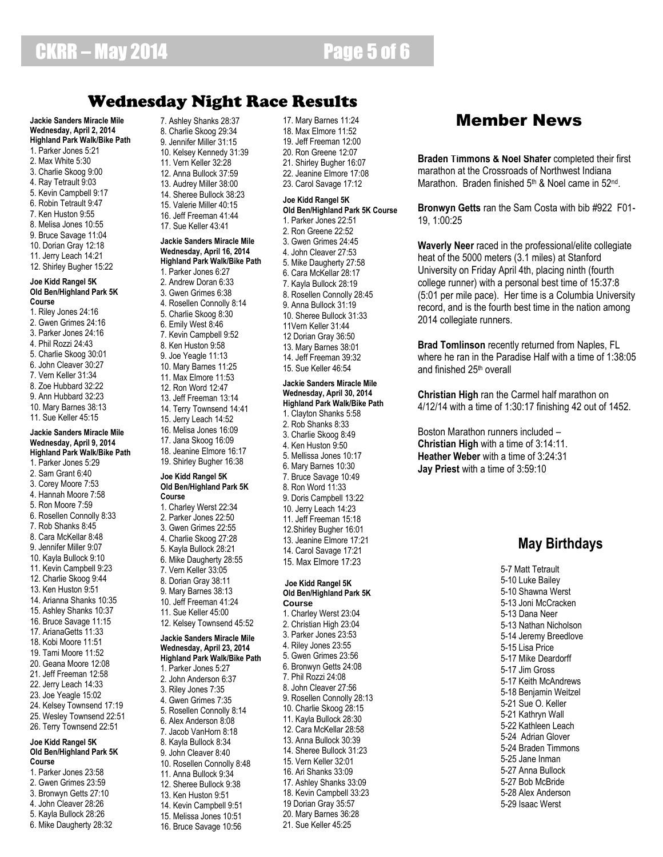# Wednesday Night Race Results

**Jackie Sanders Miracle Mile Wednesday, April 2, 2014 Highland Park Walk/Bike Path** 1. Parker Jones 5:21 2. Max White 5:30 3. Charlie Skoog 9:00 4. Ray Tetrault 9:03 5. Kevin Campbell 9:17 6. Robin Tetrault 9:47 7. Ken Huston 9:55 8. Melisa Jones 10:55 9. Bruce Savage 11:04 10. Dorian Gray 12:18 11. Jerry Leach 14:21 12. Shirley Bugher 15:22 **Joe Kidd Rangel 5K Old Ben/Highland Park 5K**  1. Riley Jones 24:16 2. Gwen Grimes 24:16 3. Parker Jones 24:16 4. Phil Rozzi 24:43 5. Charlie Skoog 30:01 6. John Cleaver 30:27 7. Vern Keller 31:34 8. Zoe Hubbard 32:22 9. Ann Hubbard 32:23 10. Mary Barnes 38:13 11. Sue Keller 45:15 **Jackie Sanders Miracle Mile Wednesday, April 9, 2014 Highland Park Walk/Bike Path** 1. Parker Jones 5:29 2. Sam Grant 6:40 3. Corey Moore 7:53 4. Hannah Moore 7:58 5. Ron Moore 7:59 6. Rosellen Connolly 8:33 7. Rob Shanks 8:45 8. Cara McKellar 8:48 9. Jennifer Miller 9:07 10. Kayla Bullock 9:10 11. Kevin Campbell 9:23 12. Charlie Skoog 9:44 13. Ken Huston 9:51 14. Arianna Shanks 10:35 15. Ashley Shanks 10:37 16. Bruce Savage 11:15 17. ArianaGetts 11:33 18. Kobi Moore 11:51 19. Tami Moore 11:52 20. Geana Moore 12:08 21. Jeff Freeman 12:58 22. Jerry Leach 14:33 23. Joe Yeagle 15:02 24. Kelsey Townsend 17:19 25. Wesley Townsend 22:51 26. Terry Townsend 22:51 **Joe Kidd Rangel 5K Old Ben/Highland Park 5K**  1. Parker Jones 23:58 2. Gwen Grimes 23:59 7. Ashley Shanks 28:37 8. Charlie Skoog 29:34 9. Jennifer Miller 31:15 **Course**

10. Kelsey Kennedy 31:39 11. Vern Keller 32:28 12. Anna Bullock 37:59 13. Audrey Miller 38:00 14. Sheree Bullock 38:23 15. Valerie Miller 40:15 16. Jeff Freeman 41:44 17. Sue Keller 43:41 **Jackie Sanders Miracle Mile Wednesday, April 16, 2014 Highland Park Walk/Bike Path** 1. Parker Jones 6:27 2. Andrew Doran 6:33 3. Gwen Grimes 6:38 4. Rosellen Connolly 8:14 5. Charlie Skoog 8:30 6. Emily West 8:46 7. Kevin Campbell 9:52 8. Ken Huston 9:58 9. Joe Yeagle 11:13 10. Mary Barnes 11:25 11. Max Elmore 11:53 12. Ron Word 12:47 13. Jeff Freeman 13:14 14. Terry Townsend 14:41 15. Jerry Leach 14:52 16. Melisa Jones 16:09 17. Jana Skoog 16:09 18. Jeanine Elmore 16:17 19. Shirley Bugher 16:38 **Joe Kidd Rangel 5K Old Ben/Highland Park 5K**  1. Charley Werst 22:34 2. Parker Jones 22:50 3. Gwen Grimes 22:55 4. Charlie Skoog 27:28 5. Kayla Bullock 28:21 6. Mike Daugherty 28:55 7. Vern Keller 33:05 8. Dorian Gray 38:11 9. Mary Barnes 38:13 10. Jeff Freeman 41:24 11. Sue Keller 45:00 12. Kelsey Townsend 45:52 **Jackie Sanders Miracle Mile Wednesday, April 23, 2014 Highland Park Walk/Bike Path** 1. Parker Jones 5:27 2. John Anderson 6:37 3. Riley Jones 7:35 4. Gwen Grimes 7:35 5. Rosellen Connolly 8:14 6. Alex Anderson 8:08 7. Jacob VanHorn 8:18 8. Kayla Bullock 8:34 9. John Cleaver 8:40 10. Rosellen Connolly 8:48 11. Anna Bullock 9:34 12. Sheree Bullock 9:38 13. Ken Huston 9:51

14. Kevin Campbell 9:51 15. Melissa Jones 10:51 16. Bruce Savage 10:56 17. Mary Barnes 11:24 18. Max Elmore 11:52 19. Jeff Freeman 12:00 20. Ron Greene 12:07 21. Shirley Bugher 16:07 22. Jeanine Elmore 17:08 23. Carol Savage 17:12

### **Joe Kidd Rangel 5K**

**Old Ben/Highland Park 5K Course** 1. Parker Jones 22:51 2. Ron Greene 22:52 3. Gwen Grimes 24:45 4. John Cleaver 27:53 5. Mike Daugherty 27:58 6. Cara McKellar 28:17 7. Kayla Bullock 28:19 8. Rosellen Connolly 28:45 9. Anna Bullock 31:19 10. Sheree Bullock 31:33 11Vern Keller 31:44 12 Dorian Gray 36:50 13. Mary Barnes 38:01 14. Jeff Freeman 39:32 15. Sue Keller 46:54

#### **Jackie Sanders Miracle Mile Wednesday, April 30, 2014 Highland Park Walk/Bike Path**

1. Clayton Shanks 5:58 2. Rob Shanks 8:33 3. Charlie Skoog 8:49 4. Ken Huston 9:50 5. Mellissa Jones 10:17 6. Mary Barnes 10:30 7. Bruce Savage 10:49 8. Ron Word 11:33 9. Doris Campbell 13:22 10. Jerry Leach 14:23 11. Jeff Freeman 15:18 12.Shirley Bugher 16:01 13. Jeanine Elmore 17:21 14. Carol Savage 17:21 15. Max Elmore 17:23

#### **Joe Kidd Rangel 5K Old Ben/Highland Park 5K Course**

1. Charley Werst 23:04 2. Christian High 23:04 3. Parker Jones 23:53 4. Riley Jones 23:55 5. Gwen Grimes 23:56 6. Bronwyn Getts 24:08 7. Phil Rozzi 24:08 8. John Cleaver 27:56 9. Rosellen Connolly 28:13 10. Charlie Skoog 28:15 11. Kayla Bullock 28:30 12. Cara McKellar 28:58 13. Anna Bullock 30:39 14. Sheree Bullock 31:23 15. Vern Keller 32:01 16. Ari Shanks 33:09 17. Ashley Shanks 33:09 18. Kevin Campbell 33:23 19 Dorian Gray 35:57 20. Mary Barnes 36:28 21. Sue Keller 45:25

# Member News

**Braden Timmons & Noel Shafer** completed their first marathon at the Crossroads of Northwest Indiana Marathon. Braden finished 5<sup>th</sup> & Noel came in 52<sup>nd</sup>.

**Bronwyn Getts** ran the Sam Costa with bib #922 F01- 19, 1:00:25

**Waverly Neer** raced in the professional/elite collegiate heat of the 5000 meters (3.1 miles) at Stanford University on Friday April 4th, placing ninth (fourth college runner) with a personal best time of 15:37:8 (5:01 per mile pace). Her time is a Columbia University record, and is the fourth best time in the nation among 2014 collegiate runners.

**Brad Tomlinson** recently returned from Naples, FL where he ran in the Paradise Half with a time of 1:38:05 and finished 25th overall

**Christian High** ran the Carmel half marathon on 4/12/14 with a time of 1:30:17 finishing 42 out of 1452.

Boston Marathon runners included – **Christian High** with a time of 3:14:11. **Heather Weber** with a time of 3:24:31 **Jay Priest** with a time of 3:59:10

# **May Birthdays**

5-7 Matt Tetrault 5-10 Luke Bailey 5-10 Shawna Werst 5-13 Joni McCracken 5-13 Dana Neer 5-13 Nathan Nicholson 5-14 Jeremy Breedlove 5-15 Lisa Price 5-17 Mike Deardorff 5-17 Jim Gross 5-17 Keith McAndrews 5-18 Benjamin Weitzel 5-21 Sue O. Keller 5-21 Kathryn Wall 5-22 Kathleen Leach 5-24 Adrian Glover 5-24 Braden Timmons 5-25 Jane Inman 5-27 Anna Bullock 5-27 Bob McBride 5-28 Alex Anderson 5-29 Isaac Werst

# 3. Bronwyn Getts 27:10

**Course**

**Course**

- 4. John Cleaver 28:26
- 5. Kayla Bullock 28:26
- 6. Mike Daugherty 28:32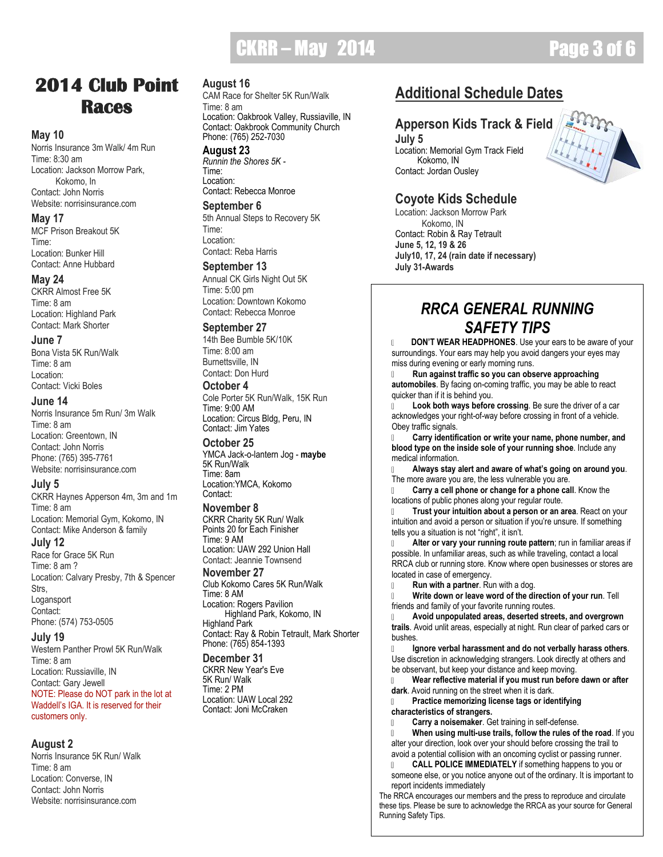# $CKRR - May$   $2014$   $Q = 3$  of

# **2014 Club Point Races**

#### **May 10**

Norris Insurance 3m Walk/ 4m Run Time: 8:30 am Location: Jackson Morrow Park, Kokomo, In Contact: John Norris Website: norrisinsurance.com

#### **May 17**

MCF Prison Breakout 5K Time<sup>.</sup> Location: Bunker Hill Contact: Anne Hubbard

#### **May 24**

CKRR Almost Free 5K Time: 8 am Location: Highland Park Contact: Mark Shorter

#### **June 7**

Bona Vista 5K Run/Walk Time: 8 am Location: Contact: Vicki Boles

#### **June 14**

Norris Insurance 5m Run/ 3m Walk Time: 8 am Location: Greentown, IN Contact: John Norris Phone: (765) 395-7761 Website: norrisinsurance.com

#### **July 5**

CKRR Haynes Apperson 4m, 3m and 1m Time: 8 am Location: Memorial Gym, Kokomo, IN Contact: Mike Anderson & family **July 12** 

Race for Grace 5K Run Time: 8 am ? Location: Calvary Presby, 7th & Spencer Strs, Logansport Contact: Phone: (574) 753-0505

#### **July 19**

Western Panther Prowl 5K Run/Walk Time: 8 am Location: Russiaville, IN Contact: Gary Jewell NOTE: Please do NOT park in the lot at Waddell's IGA. It is reserved for their customers only.

### **August 2**

Norris Insurance 5K Run/ Walk Time: 8 am Location: Converse, IN Contact: John Norris Website: norrisinsurance.com

### **August 16**

CAM Race for Shelter 5K Run/Walk Time: 8 am Location: Oakbrook Valley, Russiaville, IN Contact: Oakbrook Community Church Phone: (765) 252-7030

#### **August 23** *Runnin the Shores 5K -*

Time<sup>.</sup> Location: Contact: Rebecca Monroe

#### **September 6**

5th Annual Steps to Recovery 5K Time: Location: Contact: Reba Harris

#### **September 13**

Annual CK Girls Night Out 5K Time: 5:00 pm Location: Downtown Kokomo Contact: Rebecca Monroe

## **September 27**

14th Bee Bumble 5K/10K Time: 8:00 am Burnettsville, IN Contact: Don Hurd

#### **October 4**

Cole Porter 5K Run/Walk, 15K Run Time: 9:00 AM Location: Circus Bldg, Peru, IN Contact: Jim Yates

#### **October 25**

YMCA Jack-o-lantern Jog - **maybe** 5K Run/Walk Time: 8am Location:YMCA, Kokomo Contact:

#### **November 8**

CKRR Charity 5K Run/ Walk Points 20 for Each Finisher Time: 9 AM Location: UAW 292 Union Hall Contact: Jeannie Townsend

#### **November 27**

Club Kokomo Cares 5K Run/Walk Time: 8 AM Location: Rogers Pavilion

 Highland Park, Kokomo, IN Highland Park Contact: Ray & Robin Tetrault, Mark Shorter Phone: (765) 854-1393

#### **December 31**

CKRR New Year's Eve 5K Run/ Walk Time: 2 PM Location: UAW Local 292 Contact: Joni McCraken

# **Additional Schedule Dates**

## **Apperson Kids Track & Field**

**July 5** Location: Memorial Gym Track Field Kokomo, IN Contact: Jordan Ousley

## **Coyote Kids Schedule**

Location: Jackson Morrow Park Kokomo, IN Contact: Robin & Ray Tetrault **June 5, 12, 19 & 26 July10, 17, 24 (rain date if necessary) July 31-Awards**



 **DON'T WEAR HEADPHONES**. Use your ears to be aware of your surroundings. Your ears may help you avoid dangers your eyes may miss during evening or early morning runs.

 **Run against traffic so you can observe approaching automobiles**. By facing on-coming traffic, you may be able to react quicker than if it is behind you.

 **Look both ways before crossing**. Be sure the driver of a car acknowledges your right-of-way before crossing in front of a vehicle. Obey traffic signals.

 **Carry identification or write your name, phone number, and blood type on the inside sole of your running shoe**. Include any medical information.

 **Always stay alert and aware of what's going on around you**. The more aware you are, the less vulnerable you are.

 **Carry a cell phone or change for a phone call**. Know the locations of public phones along your regular route.

 **Trust your intuition about a person or an area**. React on your intuition and avoid a person or situation if you're unsure. If something tells you a situation is not "right", it isn't.

 **Alter or vary your running route pattern**; run in familiar areas if possible. In unfamiliar areas, such as while traveling, contact a local RRCA club or running store. Know where open businesses or stores are located in case of emergency.

**Run with a partner**. Run with a dog.

 **Write down or leave word of the direction of your run**. Tell friends and family of your favorite running routes.

 **Avoid unpopulated areas, deserted streets, and overgrown trails**. Avoid unlit areas, especially at night. Run clear of parked cars or bushes.

 **Ignore verbal harassment and do not verbally harass others**. Use discretion in acknowledging strangers. Look directly at others and be observant, but keep your distance and keep moving.

 **Wear reflective material if you must run before dawn or after dark**. Avoid running on the street when it is dark.

 **Practice memorizing license tags or identifying characteristics of strangers.**

**Carry a noisemaker**. Get training in self-defense.

 **When using multi-use trails, follow the rules of the road**. If you alter your direction, look over your should before crossing the trail to avoid a potential collision with an oncoming cyclist or passing runner.

 **CALL POLICE IMMEDIATELY** if something happens to you or someone else, or you notice anyone out of the ordinary. It is important to report incidents immediately

The RRCA encourages our members and the press to reproduce and circulate these tips. Please be sure to acknowledge the RRCA as your source for General Running Safety Tips.

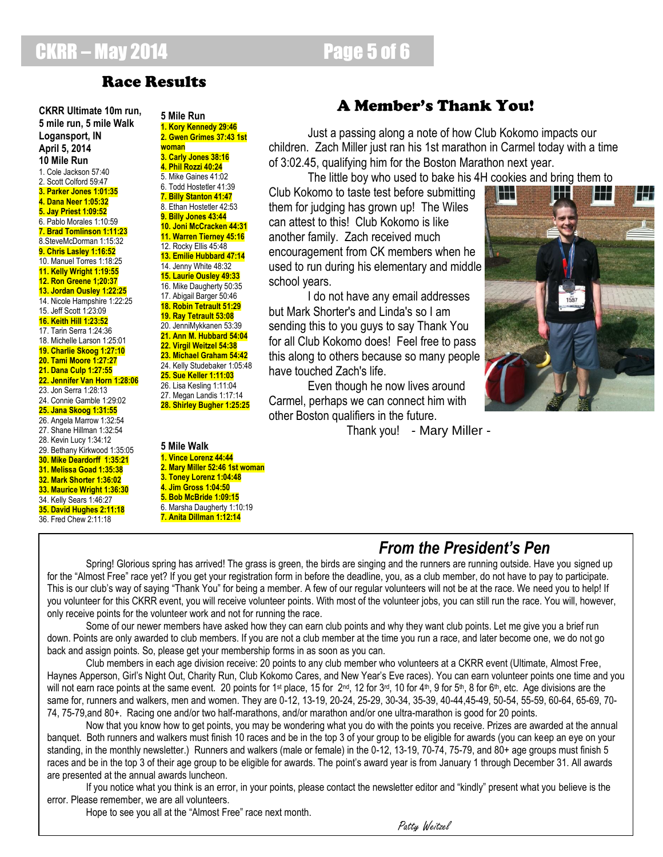# **CKRR – May 2014 Page 5 of 6**

# Race Results

**CKRR Ultimate 10m run, 5 mile run, 5 mile Walk Logansport, IN April 5, 2014 10 Mile Run** 1. Cole Jackson 57:40 2. Scott Colford 59:47 **3. Parker Jones 1:01:35 4. Dana Neer 1:05:32 5. Jay Priest 1:09:52** 6. Pablo Morales 1:10:59 **7. Brad Tomlinson 1:11:23** 8.SteveMcDorman 1:15:32 **9. Chris Lasley 1:16:52** 10. Manuel Torres 1:18:25 **11. Kelly Wright 1:19:55 12. Ron Greene 1;20:37 13. Jordan Ousley 1:22:25** 14. Nicole Hampshire 1:22:25 15. Jeff Scott 1:23:09 **16. Keith Hill 1:23:52** 17. Tarin Serra 1:24:36 18. Michelle Larson 1:25:01 **19. Charlie Skoog 1:27:10 20. Tami Moore 1:27:27 21. Dana Culp 1:27:55 22. Jennifer Van Horn 1:28:06** 23. Jon Serra 1:28:13 24. Connie Gamble 1:29:02 **25. Jana Skoog 1:31:55** 26. Angela Marrow 1:32:54 27. Shane Hillman 1:32:54 28. Kevin Lucy 1:34:12 29. Bethany Kirkwood 1:35:05 **30. Mike Deardorff 1:35:21 31. Melissa Goad 1:35:38 32. Mark Shorter 1:36:02 33. Maurice Wright 1:36:30** 34. Kelly Sears 1:46:27 **35. David Hughes 2:11:18** 36. Fred Chew 2:11:18

**5 Mile Run 1. Kory Kennedy 29:46 2. Gwen Grimes 37:43 1st woman 3. Carly Jones 38:16 4. Phil Rozzi 40:24** 5. Mike Gaines 41:02 6. Todd Hostetler 41:39 **7. Billy Stanton 41:47** 8. Ethan Hostetler 42:53 **9. Billy Jones 43:44 10. Joni McCracken 44:31 11. Warren Tierney 45:16** 12. Rocky Ellis 45:48 **13. Emilie Hubbard 47:14** 14. Jenny White 48:32 **15. Laurie Ousley 49:33** 16. Mike Daugherty 50:35 17. Abigail Barger 50:46 **18. Robin Tetrault 51:29 19. Ray Tetrault 53:08** 20. JenniMykkanen 53:39 **21. Ann M. Hubbard 54:04 22. Virgil Weitzel 54:38 23. Michael Graham 54:42** 24. Kelly Studebaker 1:05:48 **25. Sue Keller 1:11:03** 26. Lisa Kesling 1:11:04 27. Megan Landis 1:17:14 **28. Shirley Bugher 1:25:25**

#### **5 Mile Walk 1. Vince Lorenz 44:44 2. Mary Miller 52:46 1st woman 3. Toney Lorenz 1:04:48 4. Jim Gross 1:04:50 5. Bob McBride 1:09:15** 6. Marsha Daugherty 1:10:19 **7. Anita Dillman 1:12:14**

# A Member's Thank You!

Just a passing along a note of how Club Kokomo impacts our children. Zach Miller just ran his 1st marathon in Carmel today with a time of 3:02.45, qualifying him for the Boston Marathon next year.

The little boy who used to bake his 4H cookies and bring them to

Club Kokomo to taste test before submitting them for judging has grown up! The Wiles can attest to this! Club Kokomo is like another family. Zach received much encouragement from CK members when he used to run during his elementary and middle school years.

I do not have any email addresses but Mark Shorter's and Linda's so I am sending this to you guys to say Thank You for all Club Kokomo does! Feel free to pass this along to others because so many people have touched Zach's life.

Even though he now lives around Carmel, perhaps we can connect him with other Boston qualifiers in the future.

Thank you! - Mary Miller -



# *From the President's Pen*

Spring! Glorious spring has arrived! The grass is green, the birds are singing and the runners are running outside. Have you signed up for the "Almost Free" race yet? If you get your registration form in before the deadline, you, as a club member, do not have to pay to participate. This is our club's way of saying "Thank You" for being a member. A few of our regular volunteers will not be at the race. We need you to help! If you volunteer for this CKRR event, you will receive volunteer points. With most of the volunteer jobs, you can still run the race. You will, however, only receive points for the volunteer work and not for running the race.

Some of our newer members have asked how they can earn club points and why they want club points. Let me give you a brief run down. Points are only awarded to club members. If you are not a club member at the time you run a race, and later become one, we do not go back and assign points. So, please get your membership forms in as soon as you can.

Club members in each age division receive: 20 points to any club member who volunteers at a CKRR event (Ultimate, Almost Free, Haynes Apperson, Girl's Night Out, Charity Run, Club Kokomo Cares, and New Year's Eve races). You can earn volunteer points one time and you will not earn race points at the same event. 20 points for 1st place, 15 for 2<sup>nd</sup>, 12 for 3<sup>rd</sup>, 10 for 4<sup>th</sup>, 9 for 5<sup>th</sup>, 8 for 6<sup>th</sup>, etc. Age divisions are the same for, runners and walkers, men and women. They are 0-12, 13-19, 20-24, 25-29, 30-34, 35-39, 40-44,45-49, 50-54, 55-59, 60-64, 65-69, 70- 74, 75-79,and 80+. Racing one and/or two half-marathons, and/or marathon and/or one ultra-marathon is good for 20 points.

Now that you know how to get points, you may be wondering what you do with the points you receive. Prizes are awarded at the annual banquet. Both runners and walkers must finish 10 races and be in the top 3 of your group to be eligible for awards (you can keep an eye on your standing, in the monthly newsletter.) Runners and walkers (male or female) in the 0-12, 13-19, 70-74, 75-79, and 80+ age groups must finish 5 races and be in the top 3 of their age group to be eligible for awards. The point's award year is from January 1 through December 31. All awards are presented at the annual awards luncheon.

If you notice what you think is an error, in your points, please contact the newsletter editor and "kindly" present what you believe is the error. Please remember, we are all volunteers.

Hope to see you all at the "Almost Free" race next month.

Patty Weitzel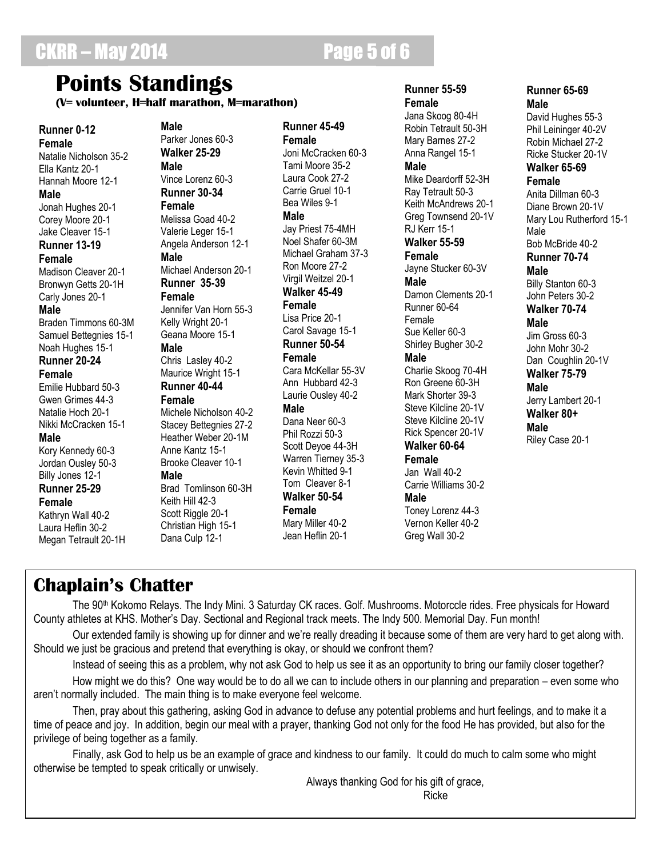# **Points Standings**

**(V= volunteer, H=half marathon, M=marathon)**

Parker Jones 60-3

**Male**

**Runner 0-12 Female** Natalie Nicholson 35-2 Ella Kantz 20-1 Hannah Moore 12-1 **Male** Jonah Hughes 20-1 Corey Moore 20-1 Jake Cleaver 15-1 **Runner 13-19 Female** Madison Cleaver 20-1 Bronwyn Getts 20-1H Carly Jones 20-1 **Male**

Braden Timmons 60-3M Samuel Bettegnies 15-1 Noah Hughes 15-1 **Runner 20-24**

#### **Female**

Emilie Hubbard 50-3 Gwen Grimes 44-3 Natalie Hoch 20-1 Nikki McCracken 15-1

### **Male**

Kory Kennedy 60-3 Jordan Ousley 50-3 Billy Jones 12-1 **Runner 25-29**

### **Female**

Kathryn Wall 40-2 Laura Heflin 30-2 Megan Tetrault 20-1H

#### **Walker 25-29 Male** Vince Lorenz 60-3 **Runner 30-34 Female** Melissa Goad 40-2 Valerie Leger 15-1 Angela Anderson 12-1 **Male** Michael Anderson 20-1 **Runner 35-39 Female**

Jennifer Van Horn 55-3 Kelly Wright 20-1 Geana Moore 15-1 **Male**

Chris Lasley 40-2 Maurice Wright 15-1

#### **Runner 40-44 Female**

Michele Nicholson 40-2 Stacey Bettegnies 27-2 Heather Weber 20-1M Anne Kantz 15-1 Brooke Cleaver 10-1 **Male** Brad Tomlinson 60-3H Keith Hill 42-3 Scott Riggle 20-1 Christian High 15-1 Dana Culp 12-1

**Runner 45-49 Female** Joni McCracken 60-3 Tami Moore 35-2 Laura Cook 27-2 Carrie Gruel 10-1 Bea Wiles 9-1 **Male** Jay Priest 75-4MH Noel Shafer 60-3M Michael Graham 37-3 Ron Moore 27-2 Virgil Weitzel 20-1 **Walker 45-49 Female** Lisa Price 20-1 Carol Savage 15-1 **Runner 50-54 Female**

Cara McKellar 55-3V Ann Hubbard 42-3 Laurie Ousley 40-2 **Male**

## Dana Neer 60-3

Phil Rozzi 50-3 Scott Deyoe 44-3H Warren Tierney 35-3 Kevin Whitted 9-1 Tom Cleaver 8-1 **Walker 50-54 Female** Mary Miller 40-2

Jean Heflin 20-1

### **Runner 55-59 Female**

Jana Skoog 80-4H Robin Tetrault 50-3H Mary Barnes 27-2 Anna Rangel 15-1 **Male** Mike Deardorff 52-3H Ray Tetrault 50-3 Keith McAndrews 20-1 Greg Townsend 20-1V RJ Kerr 15-1 **Walker 55-59 Female** Jayne Stucker 60-3V **Male** Damon Clements 20-1 Runner 60-64 Female Sue Keller 60-3 Shirley Bugher 30-2

### **Male**

Charlie Skoog 70-4H Ron Greene 60-3H Mark Shorter 39-3 Steve Kilcline 20-1V Steve Kilcline 20-1V Rick Spencer 20-1V **Walker 60-64 Female** Jan Wall 40-2 Carrie Williams 30-2 **Male**

Toney Lorenz 44-3 Vernon Keller 40-2 Greg Wall 30-2

### **Runner 65-69 Male**

David Hughes 55-3 Phil Leininger 40-2V Robin Michael 27-2 Ricke Stucker 20-1V **Walker 65-69 Female** Anita Dillman 60-3 Diane Brown 20-1V Mary Lou Rutherford 15-1 Male Bob McBride 40-2 **Runner 70-74 Male** Billy Stanton 60-3 John Peters 30-2 **Walker 70-74 Male** Jim Gross 60-3 John Mohr 30-2 Dan Coughlin 20-1V **Walker 75-79 Male** Jerry Lambert 20-1 **Walker 80+ Male** Riley Case 20-1

# **Chaplain's Chatter**

The 90<sup>th</sup> Kokomo Relays. The Indy Mini. 3 Saturday CK races. Golf. Mushrooms. Motorccle rides. Free physicals for Howard County athletes at KHS. Mother's Day. Sectional and Regional track meets. The Indy 500. Memorial Day. Fun month!

Our extended family is showing up for dinner and we're really dreading it because some of them are very hard to get along with. Should we just be gracious and pretend that everything is okay, or should we confront them?

Instead of seeing this as a problem, why not ask God to help us see it as an opportunity to bring our family closer together?

How might we do this? One way would be to do all we can to include others in our planning and preparation – even some who aren't normally included. The main thing is to make everyone feel welcome.

Then, pray about this gathering, asking God in advance to defuse any potential problems and hurt feelings, and to make it a time of peace and joy. In addition, begin our meal with a prayer, thanking God not only for the food He has provided, but also for the privilege of being together as a family.

Finally, ask God to help us be an example of grace and kindness to our family. It could do much to calm some who might otherwise be tempted to speak critically or unwisely.

Always thanking God for his gift of grace, Ricke